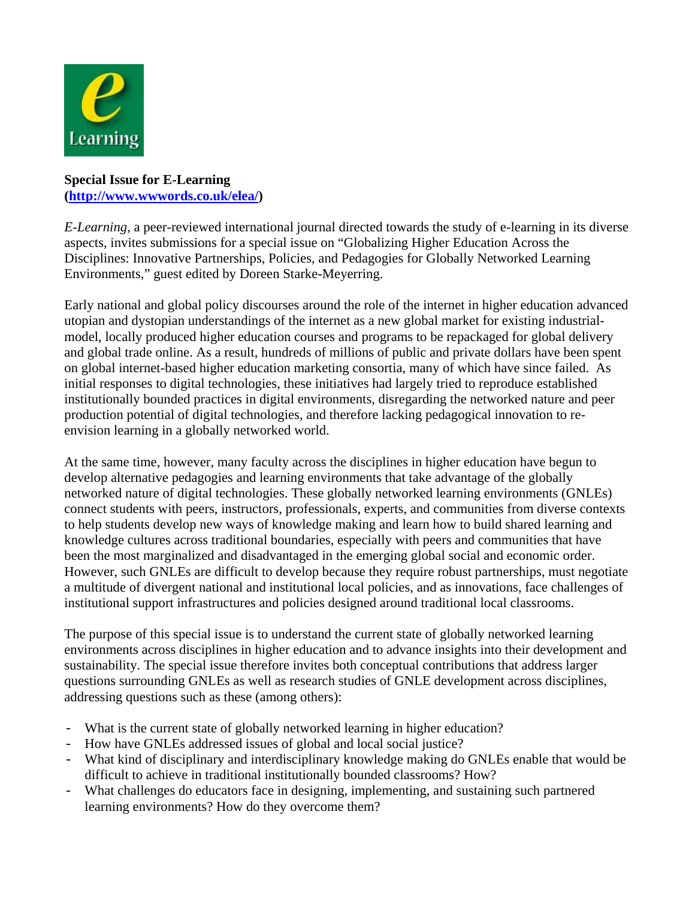

## **Special Issue for E-Learning ([http://www.wwwords.co.uk/elea/\)](http://www.wwwords.co.uk/elea/)**

*E-Learning*, a peer-reviewed international journal directed towards the study of e-learning in its diverse aspects, invites submissions for a special issue on "Globalizing Higher Education Across the Disciplines: Innovative Partnerships, Policies, and Pedagogies for Globally Networked Learning Environments," guest edited by Doreen Starke-Meyerring.

Early national and global policy discourses around the role of the internet in higher education advanced utopian and dystopian understandings of the internet as a new global market for existing industrialmodel, locally produced higher education courses and programs to be repackaged for global delivery and global trade online. As a result, hundreds of millions of public and private dollars have been spent on global internet-based higher education marketing consortia, many of which have since failed. As initial responses to digital technologies, these initiatives had largely tried to reproduce established institutionally bounded practices in digital environments, disregarding the networked nature and peer production potential of digital technologies, and therefore lacking pedagogical innovation to reenvision learning in a globally networked world.

At the same time, however, many faculty across the disciplines in higher education have begun to develop alternative pedagogies and learning environments that take advantage of the globally networked nature of digital technologies. These globally networked learning environments (GNLEs) connect students with peers, instructors, professionals, experts, and communities from diverse contexts to help students develop new ways of knowledge making and learn how to build shared learning and knowledge cultures across traditional boundaries, especially with peers and communities that have been the most marginalized and disadvantaged in the emerging global social and economic order. However, such GNLEs are difficult to develop because they require robust partnerships, must negotiate a multitude of divergent national and institutional local policies, and as innovations, face challenges of institutional support infrastructures and policies designed around traditional local classrooms.

The purpose of this special issue is to understand the current state of globally networked learning environments across disciplines in higher education and to advance insights into their development and sustainability. The special issue therefore invites both conceptual contributions that address larger questions surrounding GNLEs as well as research studies of GNLE development across disciplines, addressing questions such as these (among others):

- What is the current state of globally networked learning in higher education?
- How have GNLEs addressed issues of global and local social justice?
- What kind of disciplinary and interdisciplinary knowledge making do GNLEs enable that would be difficult to achieve in traditional institutionally bounded classrooms? How?
- What challenges do educators face in designing, implementing, and sustaining such partnered learning environments? How do they overcome them?